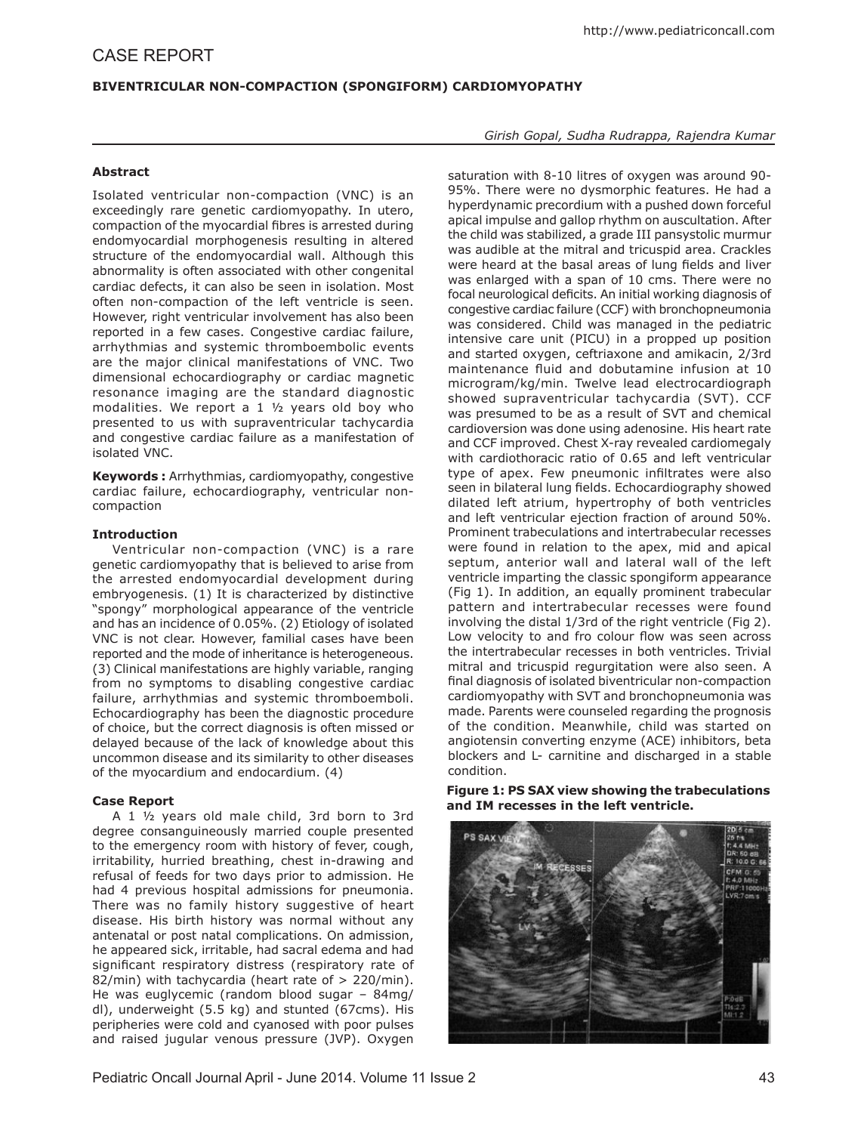# **Biventricular Non-Compaction (Spongiform) Cardiomyopathy**

## **Abstract**

Isolated ventricular non-compaction (VNC) is an exceedingly rare genetic cardiomyopathy. In utero, compaction of the myocardial fibres is arrested during endomyocardial morphogenesis resulting in altered structure of the endomyocardial wall. Although this abnormality is often associated with other congenital cardiac defects, it can also be seen in isolation. Most often non-compaction of the left ventricle is seen. However, right ventricular involvement has also been reported in a few cases. Congestive cardiac failure, arrhythmias and systemic thromboembolic events are the major clinical manifestations of VNC. Two dimensional echocardiography or cardiac magnetic resonance imaging are the standard diagnostic modalities. We report a 1 ½ years old boy who presented to us with supraventricular tachycardia and congestive cardiac failure as a manifestation of isolated VNC.

**Keywords :** Arrhythmias, cardiomyopathy, congestive cardiac failure, echocardiography, ventricular noncompaction

### **Introduction**

Ventricular non-compaction (VNC) is a rare genetic cardiomyopathy that is believed to arise from the arrested endomyocardial development during embryogenesis. (1) It is characterized by distinctive "spongy" morphological appearance of the ventricle and has an incidence of 0.05%. (2) Etiology of isolated VNC is not clear. However, familial cases have been reported and the mode of inheritance is heterogeneous. (3) Clinical manifestations are highly variable, ranging from no symptoms to disabling congestive cardiac failure, arrhythmias and systemic thromboemboli. Echocardiography has been the diagnostic procedure of choice, but the correct diagnosis is often missed or delayed because of the lack of knowledge about this uncommon disease and its similarity to other diseases of the myocardium and endocardium. (4)

## **Case Report**

A 1 ½ years old male child, 3rd born to 3rd degree consanguineously married couple presented to the emergency room with history of fever, cough, irritability, hurried breathing, chest in-drawing and refusal of feeds for two days prior to admission. He had 4 previous hospital admissions for pneumonia. There was no family history suggestive of heart disease. His birth history was normal without any antenatal or post natal complications. On admission, he appeared sick, irritable, had sacral edema and had significant respiratory distress (respiratory rate of 82/min) with tachycardia (heart rate of > 220/min). He was euglycemic (random blood sugar – 84mg/ dl), underweight (5.5 kg) and stunted (67cms). His peripheries were cold and cyanosed with poor pulses and raised jugular venous pressure (JVP). Oxygen

*Girish Gopal, Sudha Rudrappa, Rajendra Kumar*

saturation with 8-10 litres of oxygen was around 90- 95%. There were no dysmorphic features. He had a hyperdynamic precordium with a pushed down forceful apical impulse and gallop rhythm on auscultation. After the child was stabilized, a grade III pansystolic murmur was audible at the mitral and tricuspid area. Crackles were heard at the basal areas of lung fields and liver was enlarged with a span of 10 cms. There were no focal neurological deficits. An initial working diagnosis of congestive cardiac failure (CCF) with bronchopneumonia was considered. Child was managed in the pediatric intensive care unit (PICU) in a propped up position and started oxygen, ceftriaxone and amikacin, 2/3rd maintenance fluid and dobutamine infusion at 10 microgram/kg/min. Twelve lead electrocardiograph showed supraventricular tachycardia (SVT). CCF was presumed to be as a result of SVT and chemical cardioversion was done using adenosine. His heart rate and CCF improved. Chest X-ray revealed cardiomegaly with cardiothoracic ratio of 0.65 and left ventricular type of apex. Few pneumonic infiltrates were also seen in bilateral lung fields. Echocardiography showed dilated left atrium, hypertrophy of both ventricles and left ventricular ejection fraction of around 50%. Prominent trabeculations and intertrabecular recesses were found in relation to the apex, mid and apical septum, anterior wall and lateral wall of the left ventricle imparting the classic spongiform appearance (Fig 1). In addition, an equally prominent trabecular pattern and intertrabecular recesses were found involving the distal 1/3rd of the right ventricle (Fig 2). Low velocity to and fro colour flow was seen across the intertrabecular recesses in both ventricles. Trivial mitral and tricuspid regurgitation were also seen. A final diagnosis of isolated biventricular non-compaction cardiomyopathy with SVT and bronchopneumonia was made. Parents were counseled regarding the prognosis of the condition. Meanwhile, child was started on angiotensin converting enzyme (ACE) inhibitors, beta blockers and L- carnitine and discharged in a stable condition.

**Figure 1: PS SAX view showing the trabeculations and IM recesses in the left ventricle.**

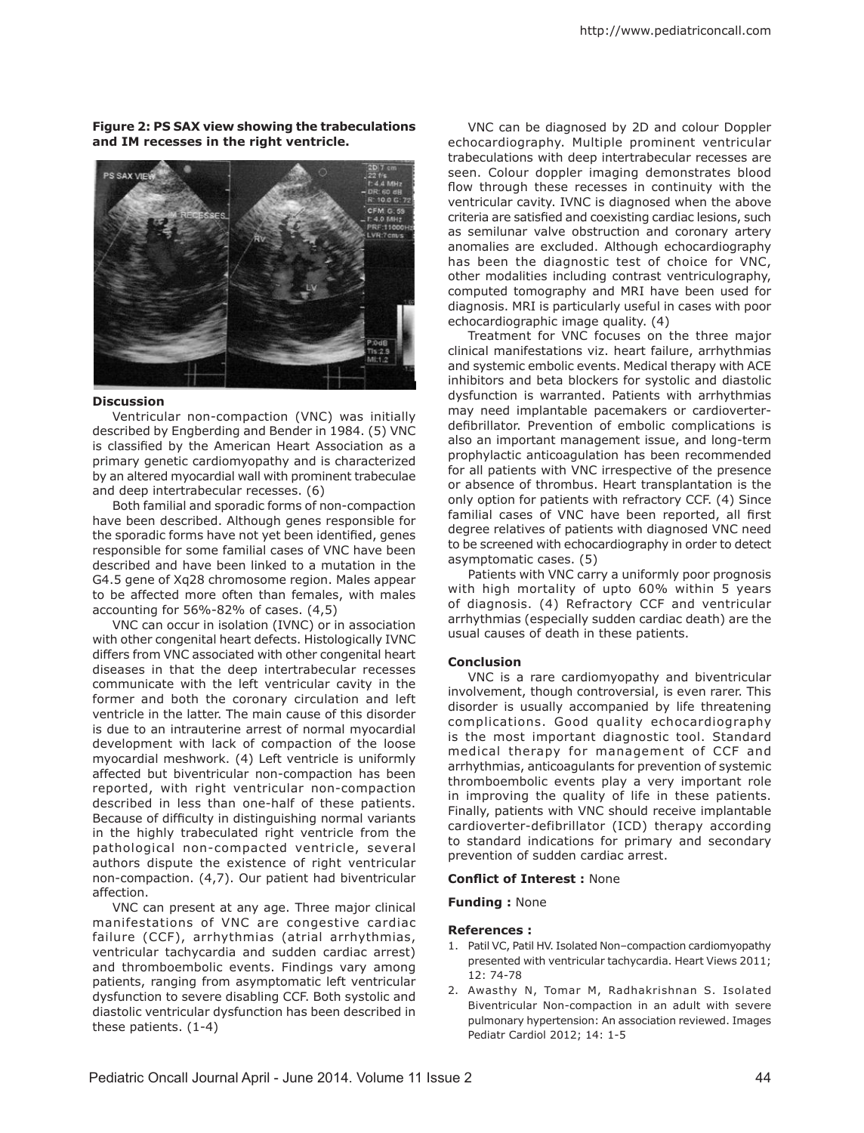**Figure 2: PS SAX view showing the trabeculations and IM recesses in the right ventricle.**



#### **Discussion**

Ventricular non-compaction (VNC) was initially described by Engberding and Bender in 1984. (5) VNC is classified by the American Heart Association as a primary genetic cardiomyopathy and is characterized by an altered myocardial wall with prominent trabeculae and deep intertrabecular recesses. (6)

Both familial and sporadic forms of non-compaction have been described. Although genes responsible for the sporadic forms have not yet been identified, genes responsible for some familial cases of VNC have been described and have been linked to a mutation in the G4.5 gene of Xq28 chromosome region. Males appear to be affected more often than females, with males accounting for 56%-82% of cases. (4,5)

VNC can occur in isolation (IVNC) or in association with other congenital heart defects. Histologically IVNC differs from VNC associated with other congenital heart diseases in that the deep intertrabecular recesses communicate with the left ventricular cavity in the former and both the coronary circulation and left ventricle in the latter. The main cause of this disorder is due to an intrauterine arrest of normal myocardial development with lack of compaction of the loose myocardial meshwork. (4) Left ventricle is uniformly affected but biventricular non-compaction has been reported, with right ventricular non-compaction described in less than one-half of these patients. Because of difficulty in distinguishing normal variants in the highly trabeculated right ventricle from the pathological non-compacted ventricle, several authors dispute the existence of right ventricular non-compaction. (4,7). Our patient had biventricular affection.

VNC can present at any age. Three major clinical manifestations of VNC are congestive cardiac failure (CCF), arrhythmias (atrial arrhythmias, ventricular tachycardia and sudden cardiac arrest) and thromboembolic events. Findings vary among patients, ranging from asymptomatic left ventricular dysfunction to severe disabling CCF. Both systolic and diastolic ventricular dysfunction has been described in these patients. (1-4)

VNC can be diagnosed by 2D and colour Doppler echocardiography. Multiple prominent ventricular trabeculations with deep intertrabecular recesses are seen. Colour doppler imaging demonstrates blood flow through these recesses in continuity with the ventricular cavity. IVNC is diagnosed when the above criteria are satisfied and coexisting cardiac lesions, such as semilunar valve obstruction and coronary artery anomalies are excluded. Although echocardiography has been the diagnostic test of choice for VNC, other modalities including contrast ventriculography, computed tomography and MRI have been used for diagnosis. MRI is particularly useful in cases with poor echocardiographic image quality. (4)

Treatment for VNC focuses on the three major clinical manifestations viz. heart failure, arrhythmias and systemic embolic events. Medical therapy with ACE inhibitors and beta blockers for systolic and diastolic dysfunction is warranted. Patients with arrhythmias may need implantable pacemakers or cardioverterdefibrillator. Prevention of embolic complications is also an important management issue, and long-term prophylactic anticoagulation has been recommended for all patients with VNC irrespective of the presence or absence of thrombus. Heart transplantation is the only option for patients with refractory CCF. (4) Since familial cases of VNC have been reported, all first degree relatives of patients with diagnosed VNC need to be screened with echocardiography in order to detect asymptomatic cases. (5)

Patients with VNC carry a uniformly poor prognosis with high mortality of upto 60% within 5 years of diagnosis. (4) Refractory CCF and ventricular arrhythmias (especially sudden cardiac death) are the usual causes of death in these patients.

#### **Conclusion**

VNC is a rare cardiomyopathy and biventricular involvement, though controversial, is even rarer. This disorder is usually accompanied by life threatening complications. Good quality echocardiography is the most important diagnostic tool. Standard medical therapy for management of CCF and arrhythmias, anticoagulants for prevention of systemic thromboembolic events play a very important role in improving the quality of life in these patients. Finally, patients with VNC should receive implantable cardioverter-defibrillator (ICD) therapy according to standard indications for primary and secondary prevention of sudden cardiac arrest.

#### **Conflict of Interest :** None

**Funding :** None

#### **References :**

- 1. Patil VC, Patil HV. Isolated Non–compaction cardiomyopathy presented with ventricular tachycardia. Heart Views 2011; 12: 74-78
- 2. Awasthy N, Tomar M, Radhakrishnan S. Isolated Biventricular Non-compaction in an adult with severe pulmonary hypertension: An association reviewed. Images Pediatr Cardiol 2012; 14: 1-5